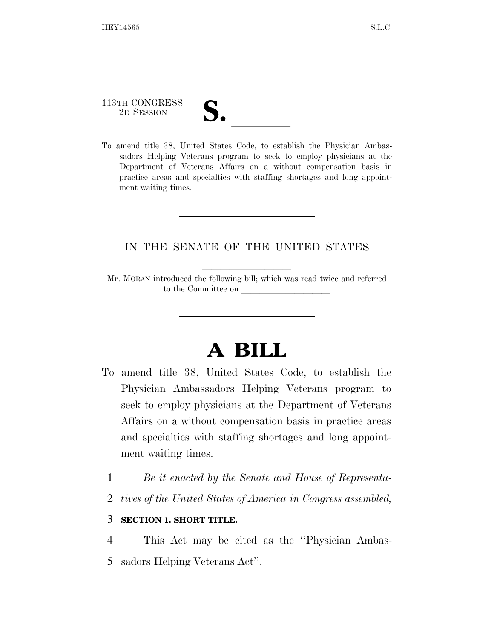113TH CONGRESS

113TH CONGRESS<br>
2D SESSION<br>
To amend title 38, United States Code, to establish the Physician Ambassadors Helping Veterans program to seek to employ physicians at the Department of Veterans Affairs on a without compensation basis in practice areas and specialties with staffing shortages and long appointment waiting times.

### IN THE SENATE OF THE UNITED STATES

Mr. MORAN introduced the following bill; which was read twice and referred to the Committee on

# **A BILL**

- To amend title 38, United States Code, to establish the Physician Ambassadors Helping Veterans program to seek to employ physicians at the Department of Veterans Affairs on a without compensation basis in practice areas and specialties with staffing shortages and long appointment waiting times.
	- 1 *Be it enacted by the Senate and House of Representa-*
	- 2 *tives of the United States of America in Congress assembled,*

#### 3 **SECTION 1. SHORT TITLE.**

4 This Act may be cited as the ''Physician Ambas-5 sadors Helping Veterans Act''.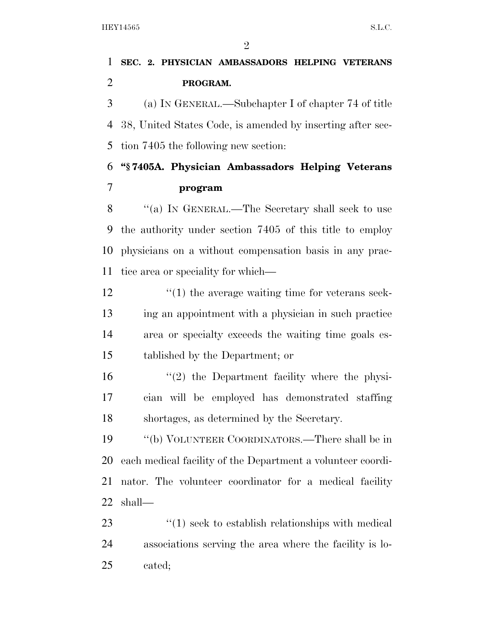### **SEC. 2. PHYSICIAN AMBASSADORS HELPING VETERANS PROGRAM.**

 (a) IN GENERAL.—Subchapter I of chapter 74 of title 38, United States Code, is amended by inserting after sec-tion 7405 the following new section:

## **''§ 7405A. Physician Ambassadors Helping Veterans program**

8 "(a) IN GENERAL.—The Secretary shall seek to use the authority under section 7405 of this title to employ physicians on a without compensation basis in any prac-tice area or speciality for which—

 $\frac{1}{2}$  (1) the average waiting time for veterans seek- ing an appointment with a physician in such practice area or specialty exceeds the waiting time goals es-tablished by the Department; or

 ''(2) the Department facility where the physi- cian will be employed has demonstrated staffing shortages, as determined by the Secretary.

 ''(b) VOLUNTEER COORDINATORS.—There shall be in each medical facility of the Department a volunteer coordi- nator. The volunteer coordinator for a medical facility shall—

23 ''(1) seek to establish relationships with medical associations serving the area where the facility is lo-cated;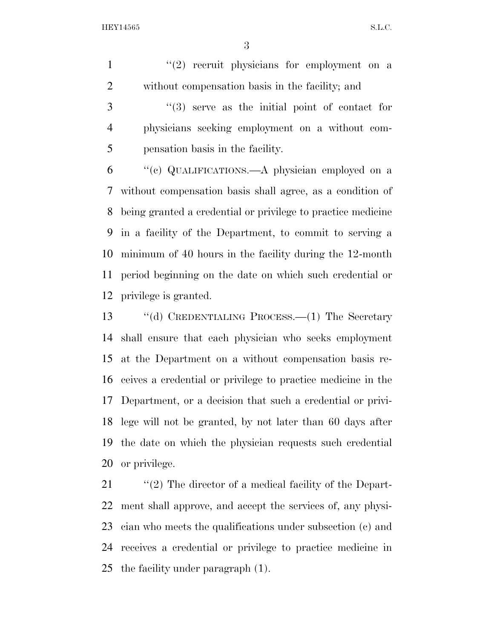HEY14565 S.L.C.

 $\binom{1}{2}$  recruit physicians for employment on a without compensation basis in the facility; and

 ''(3) serve as the initial point of contact for physicians seeking employment on a without com-pensation basis in the facility.

 ''(c) QUALIFICATIONS.—A physician employed on a without compensation basis shall agree, as a condition of being granted a credential or privilege to practice medicine in a facility of the Department, to commit to serving a minimum of 40 hours in the facility during the 12-month period beginning on the date on which such credential or privilege is granted.

 ''(d) CREDENTIALING PROCESS.—(1) The Secretary shall ensure that each physician who seeks employment at the Department on a without compensation basis re- ceives a credential or privilege to practice medicine in the Department, or a decision that such a credential or privi- lege will not be granted, by not later than 60 days after the date on which the physician requests such credential or privilege.

 $\frac{1}{2}$  (2) The director of a medical facility of the Depart- ment shall approve, and accept the services of, any physi- cian who meets the qualifications under subsection (c) and receives a credential or privilege to practice medicine in the facility under paragraph (1).